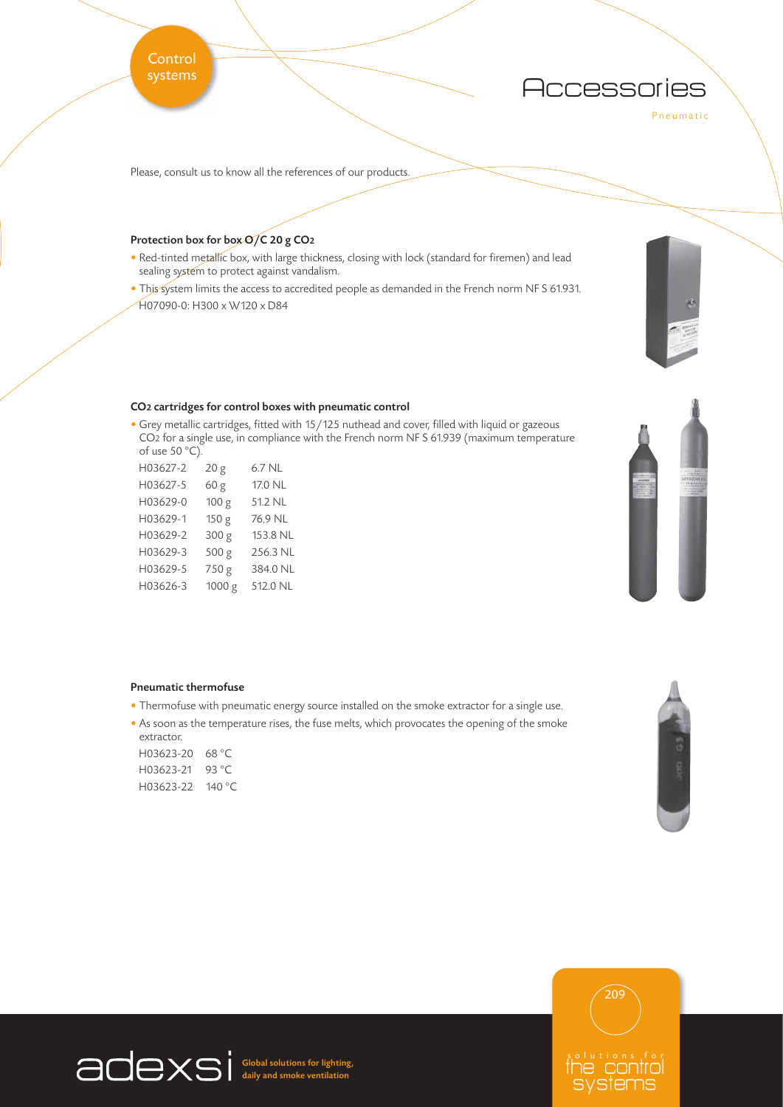## **Control** systems

**Accessories** 

Pneumatic

Please, consult us to know all the references of our products.

## Protection box for box O/C 20 g CO<sub>2</sub>

- Red-tinted metallic box, with large thickness, closing with lock (standard for firemen) and lead sealing system to protect against vandalism.
- This system limits the access to accredited people as demanded in the French norm NF S 61.931. H07090-0: H300 x W120 x D84

## CO2 cartridges for control boxes with pneumatic control

• Grey metallic cartridges, fitted with 15/125 nuthead and cover, filled with liquid or gazeous CO2 for a single use, in compliance with the French norm NF S 61.939 (maximum temperature of use 50 $°C$ ).

| H03627-2 | 20 g   | 6.7 NL   |
|----------|--------|----------|
| H03627-5 | 60 g   | 17.0 NL  |
| H03629-0 | 100 g  | 51.2 NL  |
| H03629-1 | 150 g  | 76.9 NL  |
| H03629-2 | 300 g  | 153.8 NL |
| H03629-3 | 500 g  | 256.3 NL |
| H03629-5 | 750 g  | 384.0 NL |
| H03626-3 | 1000 g | 512.0 NL |



## Pneumatic thermofuse

- Thermofuse with pneumatic energy source installed on the smoke extractor for a single use.
- As soon as the temperature rises, the fuse melts, which provocates the opening of the smoke extractor.

| H03623-20 68 °C |                 |
|-----------------|-----------------|
| H03623-21       | 93 $^{\circ}$ C |
| H03623-22       | 140 °C          |